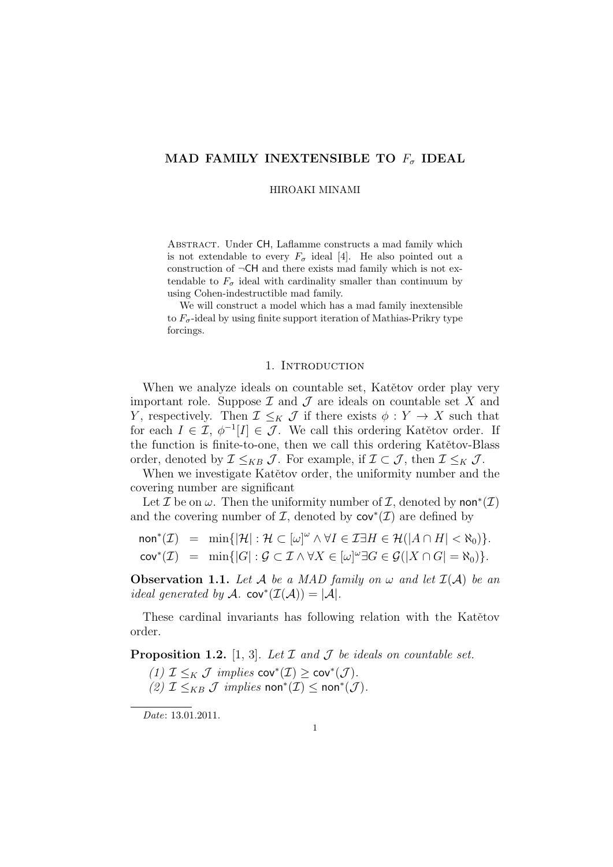## **MAD FAMILY INEXTENSIBLE TO** *F<sup>σ</sup>* **IDEAL**

HIROAKI MINAMI

ABSTRACT. Under CH, Laflamme constructs a mad family which is not extendable to every  $F_{\sigma}$  ideal [4]. He also pointed out a construction of *¬*CH and there exists mad family which is not extendable to  $F_{\sigma}$  ideal with cardinality smaller than continuum by using Cohen-indestructible mad family.

We will construct a model which has a mad family inextensible to  $F_{\sigma}$ -ideal by using finite support iteration of Mathias-Prikry type forcings.

### 1. INTRODUCTION

When we analyze ideals on countable set, Katětov order play very important role. Suppose  $\mathcal I$  and  $\mathcal J$  are ideals on countable set  $X$  and *Y*, respectively. Then  $\mathcal{I} \leq_K \mathcal{J}$  if there exists  $\phi: Y \to X$  such that for each  $I \in \mathcal{I}, \phi^{-1}[I] \in \mathcal{J}$ . We call this ordering Katětov order. If the function is finite-to-one, then we call this ordering Katětov-Blass order, denoted by  $\mathcal{I} \leq_{KB} \mathcal{J}$ . For example, if  $\mathcal{I} \subset \mathcal{J}$ , then  $\mathcal{I} \leq_K \mathcal{J}$ .

When we investigate Katětov order, the uniformity number and the covering number are significant

Let  $\mathcal I$  be on  $\omega$ . Then the uniformity number of  $\mathcal I,$  denoted by non\* $(\mathcal I)$ and the covering number of  $\mathcal{I}$ , denoted by  $cov^*(\mathcal{I})$  are defined by

$$
\text{non}^*(\mathcal{I}) = \min\{|\mathcal{H}| : \mathcal{H} \subset [\omega]^\omega \land \forall I \in \mathcal{I} \exists H \in \mathcal{H}(|A \cap H| < \aleph_0)\}.
$$
\n
$$
\text{cov}^*(\mathcal{I}) = \min\{|G| : \mathcal{G} \subset \mathcal{I} \land \forall X \in [\omega]^\omega \exists G \in \mathcal{G}(|X \cap G| = \aleph_0)\}.
$$

**Observation 1.1.** Let  $A$  be a MAD family on  $\omega$  and let  $I(A)$  be an *ideal generated by*  $\mathcal{A}$ *.* cov<sup>\*</sup> $(\mathcal{I}(\mathcal{A})) = |\mathcal{A}|$ *.* 

These cardinal invariants has following relation with the Katětov order.

**Proposition 1.2.** [1, 3]*. Let I and J be ideals on countable set.*

*(1) I* ≤*K J implies* cov<sup>\*</sup>(*I*) ≥ cov<sup>\*</sup>(*J*)*.* 

*(2)*  $\mathcal{I}$  ≤*KB*  $\mathcal{J}$  *implies* non<sup>\*</sup> $(\mathcal{I})$  ≤ non<sup>\*</sup> $(\mathcal{J})$ *.* 

*Date*: 13.01.2011.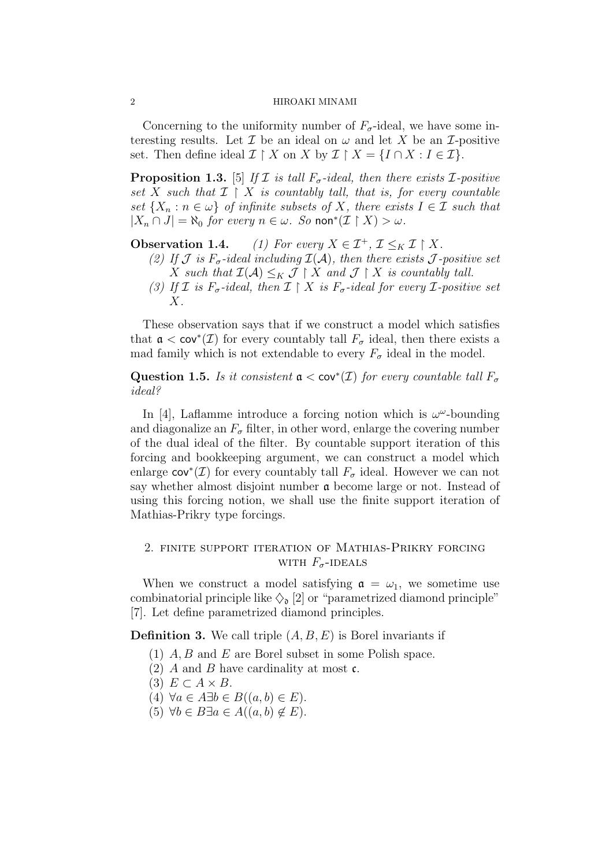#### 2 HIROAKI MINAMI

Concerning to the uniformity number of  $F_{\sigma}$ -ideal, we have some interesting results. Let  $\mathcal I$  be an ideal on  $\omega$  and let  $X$  be an  $\mathcal I$ -positive set. Then define ideal  $\mathcal{I} \restriction X$  on  $X$  by  $\mathcal{I} \restriction X = \{I \cap X : I \in \mathcal{I}\}.$ 

**Proposition 1.3.** [5] *If*  $I$  *is tall*  $F_{\sigma}$ *-ideal, then there exists*  $I$ *-positive set*  $X$  *such that*  $I \restriction X$  *is countably tall, that is, for every countable set*  $\{X_n : n \in \omega\}$  *of infinite subsets of X, there exists*  $I \in \mathcal{I}$  *such that*  $|X_n \cap J| = \aleph_0$  *for every*  $n \in \omega$ *. So* non<sup>\*</sup> $(I \upharpoonright X) > \omega$ *.* 

**Observation 1.4.** *(1) For every*  $X \in \mathcal{I}^+, \mathcal{I} \leq_K \mathcal{I} \upharpoonright X$ .

- *(2)* If  $J$  *is*  $F_{\sigma}$ -ideal including  $I(A)$ *, then there exists*  $J$ -positive set *X* such that  $\mathcal{I}(\mathcal{A}) \leq_K \mathcal{J} \restriction X$  and  $\mathcal{J} \restriction X$  is countably tall.
- *(3)* If **I** is  $F_{\sigma}$ -ideal, then  $\mathcal{I} \restriction X$  is  $F_{\sigma}$ -ideal for every **I**-positive set *X.*

These observation says that if we construct a model which satisfies that  $\mathfrak{a} < \text{cov}^*(\mathcal{I})$  for every countably tall  $F_{\sigma}$  ideal, then there exists a mad family which is not extendable to every  $F_{\sigma}$  ideal in the model.

**Question 1.5.** *Is it consistent*  $a < cov^*(\mathcal{I})$  *for every countable tall*  $F_{\sigma}$ *ideal?*

In [4], Laflamme introduce a forcing notion which is  $\omega^{\omega}$ -bounding and diagonalize an  $F_{\sigma}$  filter, in other word, enlarge the covering number of the dual ideal of the filter. By countable support iteration of this forcing and bookkeeping argument, we can construct a model which enlarge  $cov^*(\mathcal{I})$  for every countably tall  $F_{\sigma}$  ideal. However we can not say whether almost disjoint number a become large or not. Instead of using this forcing notion, we shall use the finite support iteration of Mathias-Prikry type forcings.

# 2. finite support iteration of Mathias-Prikry forcing WITH  $F_{\sigma}$ -IDEALS

When we construct a model satisfying  $\mathfrak{a} = \omega_1$ , we sometime use combinatorial principle like  $\Diamond_{\mathfrak{d}}$  [2] or "parametrized diamond principle" [7]. Let define parametrized diamond principles.

**Definition 3.** We call triple (*A, B, E*) is Borel invariants if

- (1) *A, B* and *E* are Borel subset in some Polish space.
- (2) *A* and *B* have cardinality at most c.
- $(3)$   $E \subset A \times B$ .
- $(4)$   $\forall a \in A \exists b \in B((a, b) \in E).$
- $(5)$   $\forall b \in B \exists a \in A((a, b) \notin E).$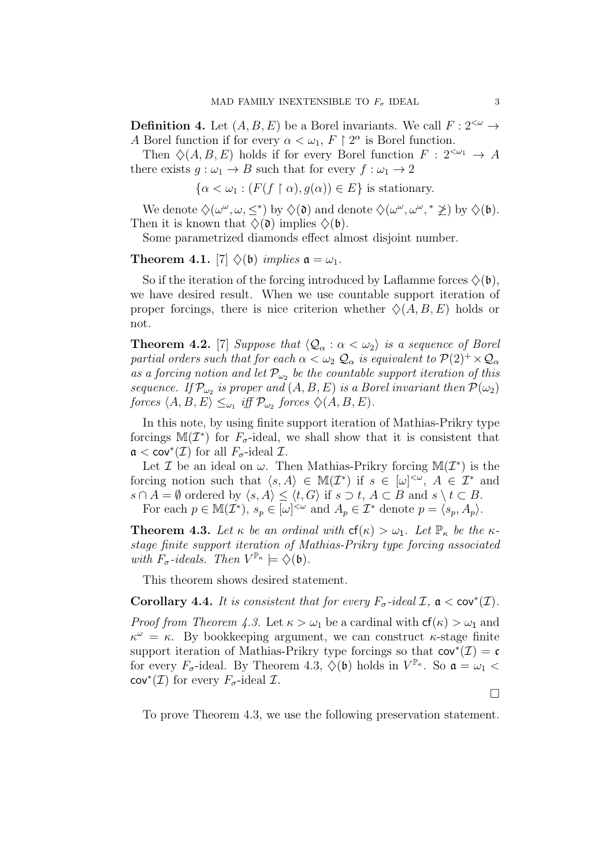**Definition 4.** Let  $(A, B, E)$  be a Borel invariants. We call  $F: 2^{<\omega} \rightarrow$ *A* Borel function if for every  $\alpha < \omega_1$ ,  $F \upharpoonright 2^{\alpha}$  is Borel function.

Then  $\Diamond$ (A, B, E) holds if for every Borel function  $F: 2^{<\omega_1} \to A$ there exists  $g: \omega_1 \to B$  such that for every  $f: \omega_1 \to 2$ 

$$
\{\alpha < \omega_1 : (F(f \restriction \alpha), g(\alpha)) \in E\} \text{ is stationary.}
$$

We denote  $\Diamond(\omega^{\omega}, \omega, \leq^*)$  by  $\Diamond(\mathfrak{d})$  and denote  $\Diamond(\omega^{\omega}, \omega^{\omega}, \ast \geq^*)$  by  $\Diamond(\mathfrak{b})$ . Then it is known that  $\Diamond(\mathfrak{d})$  implies  $\Diamond(\mathfrak{b})$ .

Some parametrized diamonds effect almost disjoint number.

**Theorem 4.1.** [7]  $\diamondsuit$  (b) *implies*  $\mathfrak{a} = \omega_1$ *.* 

So if the iteration of the forcing introduced by Laflamme forces  $\Diamond(\mathfrak{b})$ , we have desired result. When we use countable support iteration of proper forcings, there is nice criterion whether  $\Diamond(A, B, E)$  holds or not.

**Theorem 4.2.** [7] *Suppose that*  $\langle \mathcal{Q}_{\alpha} : \alpha < \omega_2 \rangle$  *is a sequence of Borel partial orders such that for each*  $\alpha < \omega_2 Q_\alpha$  *is equivalent to*  $P(2)^+ \times Q_\alpha$ *as a forcing notion and let*  $\mathcal{P}_{\omega_2}$  *be the countable support iteration of this sequence.* If  $\mathcal{P}_{\omega_2}$  *is proper and*  $(A, B, E)$  *is a Borel invariant then*  $\mathcal{P}(\omega_2)$  $f$ *orces*  $\langle A, B, E \rangle \leq \omega_1$  *iff*  $\mathcal{P}_{\omega_2}$  *forces*  $\diamondsuit$   $(A, B, E)$ *.* 

In this note, by using finite support iteration of Mathias-Prikry type forcings  $\mathbb{M}(\mathcal{I}^*)$  for  $F_{\sigma}$ -ideal, we shall show that it is consistent that  $\mathfrak{a} < \text{cov}^*(\mathcal{I})$  for all  $F_{\sigma}$ -ideal  $\mathcal{I}$ .

Let *I* be an ideal on  $\omega$ . Then Mathias-Prikry forcing  $\mathbb{M}(\mathcal{I}^*)$  is the forcing notion such that  $\langle s, A \rangle \in M(\mathcal{I}^*)$  if  $s \in [\omega]^{<\omega}$ ,  $A \in \mathcal{I}^*$  and *s* ∩ *A* =  $\emptyset$  ordered by  $\langle s, A \rangle \le \langle t, G \rangle$  if  $s \supset t$ ,  $A \subset B$  and  $s \setminus t \subset B$ . For each  $p \in M(\mathcal{I}^*), s_p \in [\omega]^{<\omega}$  and  $A_p \in \mathcal{I}^*$  denote  $p = \langle s_p, A_p \rangle$ .

**Theorem 4.3.** Let  $\kappa$  be an ordinal with  $cf(\kappa) > \omega_1$ . Let  $\mathbb{P}_{\kappa}$  be the  $\kappa$ *stage finite support iteration of Mathias-Prikry type forcing associated with*  $F_{\sigma}$ -ideals. Then  $V^{\mathbb{P}_{\kappa}} \models \Diamond(\mathfrak{b})$ .

This theorem shows desired statement.

**Corollary 4.4.** *It is consistent that for every*  $F_{\sigma}$ -ideal  $\mathcal{I}$ ,  $\mathfrak{a} < \text{cov}^*(\mathcal{I})$ .

*Proof from Theorem 4.3.* Let  $\kappa > \omega_1$  be a cardinal with  $cf(\kappa) > \omega_1$  and  $\kappa^{\omega} = \kappa$ . By bookkeeping argument, we can construct *κ*-stage finite support iteration of Mathias-Prikry type forcings so that  $cov^*(\mathcal{I}) = c$ for every  $F_{\sigma}$ -ideal. By Theorem 4.3,  $\Diamond$ (b) holds in  $V^{\mathbb{P}_{\kappa}}$ . So  $\mathfrak{a} = \omega_1$  <  $cov^*(\mathcal{I})$  for every  $F_{\sigma}$ -ideal  $\mathcal{I}$ .

 $\Box$ 

To prove Theorem 4.3, we use the following preservation statement.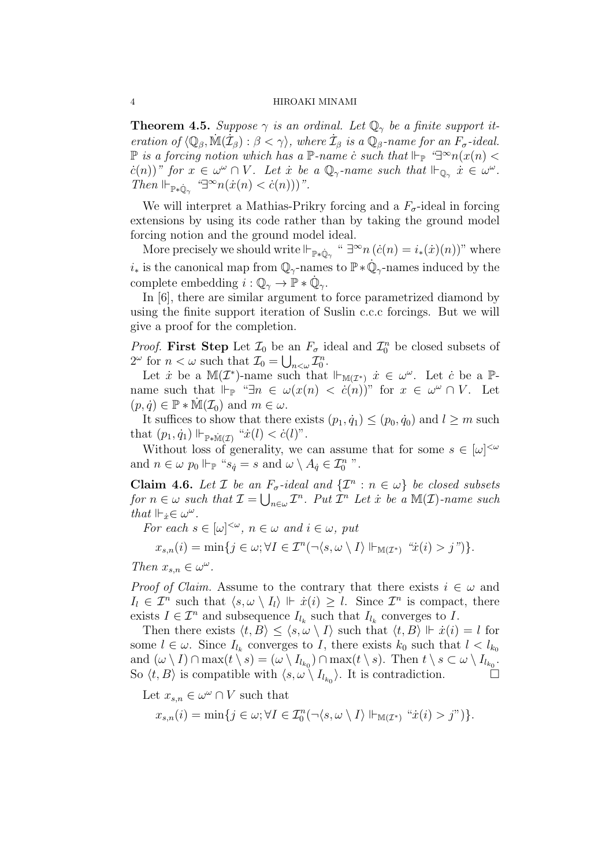#### 4 HIROAKI MINAMI

**Theorem 4.5.** *Suppose*  $\gamma$  *is an ordinal. Let*  $\mathbb{Q}_{\gamma}$  *be a finite support iteration of*  $\langle \mathbb{Q}_{\beta}, \mathbb{M}(\mathcal{I}_{\beta}) : \beta < \gamma \rangle$ , where  $\mathcal{I}_{\beta}$  *is a*  $\mathbb{Q}_{\beta}$ *-name for an*  $F_{\sigma}$ *-ideal.*  $\mathbb{P}$  is a forcing notion which has a  $\mathbb{P}$ -name  $\dot{c}$  such that  $\mathbb{H}_{\mathbb{P}}$   $\mathbb{P}^{\infty}n(x(n) <$  $\hat{c}(n)$ )" for  $x \in \omega^{\omega} \cap V$ . Let  $\dot{x}$  be a  $\mathbb{Q}_{\gamma}$ -name such that  $\mathbb{H}_{\mathbb{Q}_{\gamma}}$   $\dot{x} \in \omega^{\omega}$ . *Then*  $\Vdash_{\mathbb{P}*\dot{\mathbb{Q}}_{\gamma}}$   $\mathcal{P}^{\infty}n(\dot{x}(n) < \dot{c}(n)))$ ".

We will interpret a Mathias-Prikry forcing and a  $F_{\sigma}$ -ideal in forcing extensions by using its code rather than by taking the ground model forcing notion and the ground model ideal.

More precisely we should write  $\Vdash_{\mathbb{P}*\mathbb{Q}_\gamma}$  "  $\exists^\infty n \ (c(n) = i_*(x)(n))$ " where  $i_*$  is the canonical map from  $\mathbb{Q}_\gamma$ -names to  $\mathbb{P} * \dot{\mathbb{Q}}_\gamma$ -names induced by the complete embedding  $i: \mathbb{Q}_\gamma \to \mathbb{P} * \dot{\mathbb{Q}}_\gamma$ .

In [6], there are similar argument to force parametrized diamond by using the finite support iteration of Suslin c.c.c forcings. But we will give a proof for the completion.

*Proof.* First Step Let  $\mathcal{I}_0$  be an  $F_\sigma$  ideal and  $\mathcal{I}_0^n$  be closed subsets of  $2^{\omega}$  for  $n < \omega$  such that  $\mathcal{I}_0 = \bigcup_{n<\omega} \mathcal{I}_0^n$ .

Let  $\dot{x}$  be a  $\mathbb{M}(\mathcal{I}^*)$ -name such that  $\Vdash_{\mathbb{M}(\mathcal{I}^*)} \dot{x} \in \omega^\omega$ . Let  $\dot{c}$  be a  $\mathbb{P}$ name such that  $\Vdash_{\mathbb{P}}$  " $\exists n \in \omega(x(n) < c(n))$ " for  $x \in \omega^{\omega} \cap V$ . Let  $(p, \dot{q}) \in \mathbb{P} * \mathbb{M}(\mathcal{I}_0)$  and  $m \in \omega$ .

It suffices to show that there exists  $(p_1, \dot{q}_1) \leq (p_0, \dot{q}_0)$  and  $l \geq m$  such  $\text{that } (p_1, \dot{q}_1) \Vdash_{\mathbb{P} * \mathbb{M}(\mathcal{I})} \text{``}\dot{x}(l) < \dot{c}(l)\text{''}.$ 

Without loss of generality, we can assume that for some  $s \in [\omega]^{<\omega}$ and  $n \in \omega$   $p_0 \Vdash_{\mathbb{P}}$  " $s_q = s$  and  $\omega \setminus A_q \in \mathcal{I}_0^n$ ".

**Claim 4.6.** *Let*  $\mathcal{I}$  *be an*  $F_{\sigma}$ -ideal and  $\{\mathcal{I}^n : n \in \omega\}$  *be closed subsets for*  $n \in \omega$  *such that*  $\mathcal{I} = \bigcup_{n \in \omega} \mathcal{I}^n$ . Put  $\overline{\mathcal{I}}^n$  Let  $\dot{x}$  be a M(*I*)*-name such that*  $\Vdash_{\dot{x}} \in \omega^{\omega}$ *.* 

*For each*  $s \in [\omega]^{<\omega}$ ,  $n \in \omega$  *and*  $i \in \omega$ , put

$$
x_{s,n}(i) = \min\{j \in \omega; \forall I \in \mathcal{I}^n(\neg \langle s, \omega \setminus I \rangle \Vdash_{\mathbb{M}(\mathcal{I}^*)} \text{``$\dot{x}(i) > j$''}\}.
$$

*Then*  $x_{s,n} \in \omega^{\omega}$ .

*Proof of Claim.* Assume to the contrary that there exists  $i \in \omega$  and  $I_l \in \mathcal{I}^n$  such that  $\langle s, \omega \setminus I_l \rangle \Vdash \dot{x}(i) \geq l$ . Since  $\mathcal{I}^n$  is compact, there exists  $I \in \mathcal{I}^n$  and subsequence  $I_{l_k}$  such that  $I_{l_k}$  converges to  $I$ .

Then there exists  $\langle t, B \rangle \leq \langle s, \omega \setminus I \rangle$  such that  $\langle t, B \rangle \Vdash \dot{x}(i) = l$  for some  $l \in \omega$ . Since  $I_{l_k}$  converges to *I*, there exists  $k_0$  such that  $l < l_{k_0}$ and  $(\omega \setminus I) \cap \max(t \setminus s) = (\omega \setminus I_{l_{k_0}}) \cap \max(t \setminus s)$ . Then  $t \setminus s \subset \omega \setminus I_{l_{k_0}}$ . So  $\langle t, B \rangle$  is compatible with  $\langle s, \omega \setminus I_{l_{k_0}} \rangle$ . It is contradiction.

Let  $x_{s,n} \in \omega^\omega \cap V$  such that

 $x_{s,n}(i) = \min\{j \in \omega; \forall I \in \mathcal{I}_0^n(\neg \langle s, \omega \setminus I \rangle \Vdash_{\mathbb{M}(\mathcal{I}^*)} \text{``}\dot{x}(i) > j\text{''})\}.$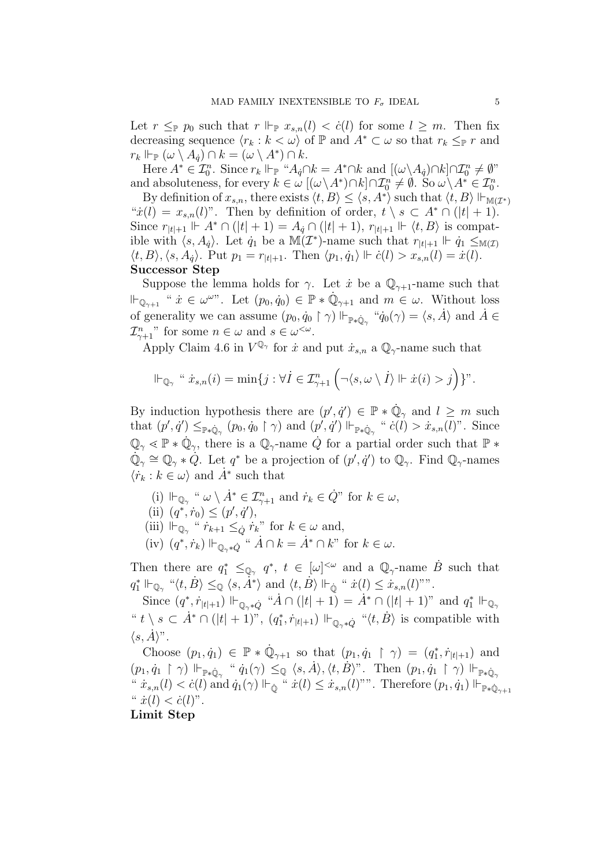Let  $r \leq_{\mathbb{P}} p_0$  such that  $r \Vdash_{\mathbb{P}} x_{s,n}(l) < c(l)$  for some  $l \geq m$ . Then fix decreasing sequence  $\langle r_k : k < \omega \rangle$  of  $\mathbb P$  and  $A^* \subset \omega$  so that  $r_k \leq_{\mathbb P} r$  and  $r_k \Vdash_{\mathbb{P}} (\omega \setminus A_q) \cap k = (\omega \setminus A^*) \cap k.$ 

Here  $A^* \in \mathcal{I}_0^n$ . Since  $r_k \Vdash_{\mathbb{P}} "A_q \cap k = A^* \cap k$  and  $[(\omega \setminus A_q) \cap k] \cap \mathcal{I}_0^n \neq \emptyset$ " and absoluteness, for every  $k \in \omega$   $[(\omega \setminus A^*) \cap k] \cap \mathcal{I}_0^n \neq \emptyset$ . So  $\omega \setminus A^* \in \mathcal{I}_0^n$ .

By definition of  $x_{s,n}$ , there exists  $\langle t, B \rangle \leq \langle s, A^* \rangle$  such that  $\langle t, B \rangle \Vdash_{\mathbb{M}(\mathcal{I}^*)}$ " $\dot{x}(l) = x_{s,n}(l)$ ". Then by definition of order,  $t \setminus s \subset A^* \cap (|t|+1)$ . Since  $r_{|t|+1} \Vdash A^* \cap (|t|+1) = A_q \cap (|t|+1)$ ,  $r_{|t|+1} \Vdash \langle t, B \rangle$  is compatible with  $\langle s, A_{\dot{q}} \rangle$ . Let  $\dot{q}_1$  be a  $\mathbb{M}(\mathcal{I}^*)$ -name such that  $r_{|t|+1} \Vdash \dot{q}_1 \leq_{\mathbb{M}(\mathcal{I})}$  $\langle t, B \rangle, \langle s, A_{\dot{q}} \rangle$ . Put  $p_1 = r_{|t|+1}$ . Then  $\langle p_1, \dot{q}_1 \rangle \Vdash \dot{c}(l) > x_{s,n}(l) = \dot{x}(l)$ . **Successor Step**

Suppose the lemma holds for *γ*. Let *i* be a  $\mathbb{Q}_{\gamma+1}$ -name such that  $\Vdash_{\mathbb{Q}_{\gamma+1}}$  "  $\dot{x} \in \omega^{\omega}$ ". Let  $(p_0, \dot{q}_0) \in \mathbb{P} * \dot{\mathbb{Q}}_{\gamma+1}$  and  $m \in \omega$ . Without loss of generality we can assume  $(p_0, \dot{q}_0 \restriction \gamma) \Vdash_{\mathbb{P} * \dot{\mathbb{Q}}_\gamma} " \dot{q}_0(\gamma) = \langle s, \dot{A} \rangle$  and  $\dot{A} \in$  $\mathcal{I}_{\gamma+1}^n$ " for some  $n \in \omega$  and  $s \in \omega^{\leq \omega}$ .

Apply Claim 4.6 in  $V^{\mathbb{Q}_{\gamma}}$  for  $\dot{x}$  and put  $\dot{x}_{s,n}$  a  $\mathbb{Q}_{\gamma}$ -name such that

$$
\Vdash_{\mathbb{Q}_\gamma} " \dot{x}_{s,n}(i) = \min\{j : \forall i \in \mathcal{I}_{\gamma+1}^n \left(\neg \langle s, \omega \setminus i \rangle \Vdash \dot{x}(i) > j\right)\}".
$$

By induction hypothesis there are  $(p', \dot{q}') \in \mathbb{P} * \dot{\mathbb{Q}}_{\gamma}$  and  $l \geq m$  such that  $(p', \dot{q}') \leq_{\mathbb{P}\ast\mathbb{Q}_{\gamma}} (p_0, \dot{q}_0 \upharpoonright \gamma)$  and  $(p', \dot{q}') \Vdash_{\mathbb{P}\ast\mathbb{Q}_{\gamma}} "c(l) > \dot{x}_{s,n}(l)$ ". Since  $\mathbb{Q}_{\gamma} \leq \mathbb{P} * \dot{\mathbb{Q}}_{\gamma}$ , there is a  $\mathbb{Q}_{\gamma}$ -name  $\dot{Q}$  for a partial order such that  $\mathbb{P} *$  $\mathbb{Q}_{\gamma} \cong \mathbb{Q}_{\gamma} * \mathbb{Q}$ . Let  $q^*$  be a projection of  $(p', q')$  to  $\mathbb{Q}_{\gamma}$ . Find  $\mathbb{Q}_{\gamma}$ -names  $\langle \dot{r}_k : k \in \omega \rangle$  and  $\dot{A}^*$  such that

- (i)  $\Vdash_{\mathbb{Q}_\gamma}$  "  $\omega \setminus \dot{A}^* \in \mathcal{I}_{\gamma+1}^n$  and  $\dot{r}_k \in \dot{Q}$ " for  $k \in \omega$ ,
- $(i)$   $(q^*, \dot{r}_0) \leq (p', \dot{q}'),$
- $(iii)$   $\mathbb{H}_{\mathbb{Q}_{\gamma}}$  " $\dot{r}_{k+1} \leq_{\Omega} \dot{r}_k$ " for  $k \in \omega$  and,
- $(iv)$   $(q^*, \dot{r}_k) \Vdash_{\mathbb{Q}_{\gamma^*\dot{Q}}}$  "  $A \cap k = A^* \cap k$ " for  $k \in \omega$ .

Then there are  $q_1^* \leq_{\mathbb{Q}_\gamma} q^*$ ,  $t \in [\omega]^{<\omega}$  and a  $\mathbb{Q}_\gamma$ -name  $\dot{B}$  such that  $q_1^* \Vdash_{\mathbb{Q}_\gamma} \text{``$\langle t, \dot{B} \rangle \leq_{\mathbb{Q}} \langle s, \dot{A}^* \rangle$ and $\langle t, \dot{B} \rangle \Vdash_{\dot{\mathbb{Q}}} \text{``$\dot{x}(l) \leq \dot{x}_{s,n}(l)$''''}.$ 

Since  $(q^*, \dot{r}_{|t|+1}) \Vdash_{\mathbb{Q}_\gamma * \dot{Q}} "A \cap (|t|+1) = A^* \cap (|t|+1)$ " and  $q_1^* \Vdash_{\mathbb{Q}_\gamma}$ " $t \setminus s \subset \dot{A}^* \cap (|t|+1)$ ",  $(q_1^*, r_{|t|+1}) \Vdash_{\mathbb{Q}_{\gamma^*} \dot{Q}}$  " $\langle t, \dot{B} \rangle$  is compatible with  $\langle s, \overline{A} \rangle$ <sup>n</sup>.

Choose  $(p_1, \dot{q}_1) \in \mathbb{P} * \dot{\mathbb{Q}}_{\gamma+1}$  so that  $(p_1, \dot{q}_1 \restriction \gamma) = (q_1^*, r_{|t|+1})$  and  $(p_1, \dot{q}_1\restriction \gamma)\Vdash_{\mathbb{P}\ast\dot{\mathbb{Q}}_\gamma} " \dot{q}_1(\gamma) \leq_\mathbb{Q} \langle s, \dot{A} \rangle, \langle t, \dot{B} \rangle". \text{ Then } (p_1, \dot{q}_1\restriction \gamma)\Vdash_{\mathbb{P}\ast\dot{\mathbb{Q}}_\gamma}$  $\forall x, y, (l) < c(l) \text{ and } \dot{q}_1(\gamma) \Vdash_{\dot{\mathbb{Q}}} \text{`` } \dot{x}(l) \leq \dot{x}_{s,n}(l) \text{''}$ . Therefore  $(p_1, \dot{q}_1) \Vdash_{\mathbb{P} * \dot{\mathbb{Q}}_{\gamma+1}}$  $\ddot{f}(\ddot{x}) < \dot{c}(l)^n$ . **Limit Step**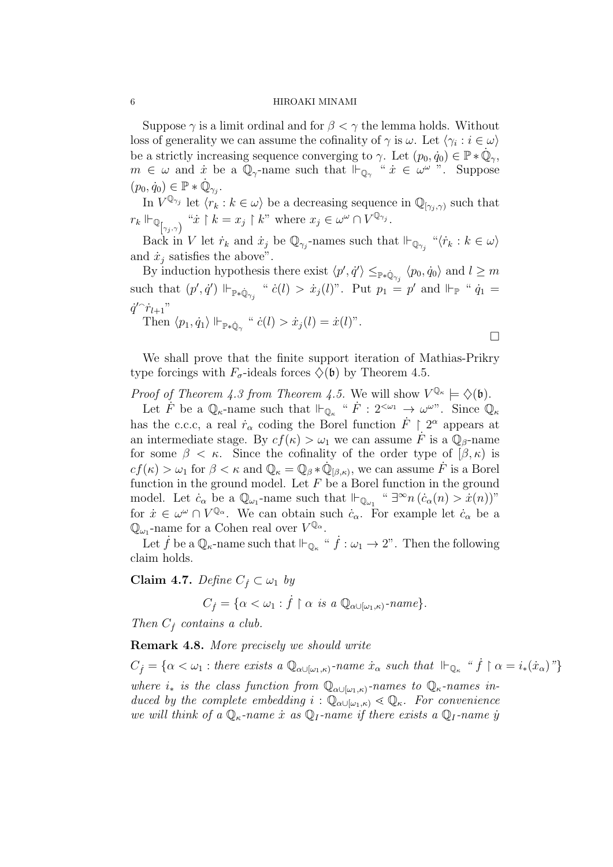#### 6 HIROAKI MINAMI

Suppose  $\gamma$  is a limit ordinal and for  $\beta < \gamma$  the lemma holds. Without loss of generality we can assume the cofinality of  $\gamma$  is  $\omega$ . Let  $\langle \gamma_i : i \in \omega \rangle$ be a strictly increasing sequence converging to  $\gamma$ . Let  $(p_0, \dot{q}_0) \in \mathbb{P} * \dot{\mathbb{Q}}_{\gamma}$ ,  $m \in \omega$  and  $\dot{x}$  be a  $\mathbb{Q}_\gamma$ -name such that  $\mathbb{H}_{\mathbb{Q}_\gamma}$  " $\dot{x} \in \omega^\omega$ ". Suppose  $(p_0, \dot{q}_0) \in \mathbb{P} * \dot{\mathbb{Q}}_{\gamma_j}.$ 

In  $V^{\mathbb{Q}_{\gamma_j}}$  let  $\langle r_k : k \in \omega \rangle$  be a decreasing sequence in  $\mathbb{Q}_{[\gamma_j,\gamma)}$  such that  $r_k \Vdash_{\mathbb{Q}_{[\gamma_j,\gamma)}}$  " $\dot{x} \restriction k = x_j \restriction k$ " where  $x_j \in \omega^\omega \cap V^{\mathbb{Q}_{\gamma_j}}$ .

Back in *V* let  $\dot{r}_k$  and  $\dot{x}_j$  be  $\mathbb{Q}_{\gamma_j}$ -names such that  $\Vdash_{\mathbb{Q}_{\gamma_j}}$  " $\langle \dot{r}_k : k \in \omega \rangle$ and  $\dot{x}_i$  satisfies the above".

By induction hypothesis there exist  $\langle p', \dot{q}' \rangle \leq_{\mathbb{P} * \dot{\mathbb{Q}}_{\gamma_j}} \langle p_0, \dot{q}_0 \rangle$  and  $l \geq m$ such that  $(p', \dot{q}') \Vdash_{\mathbb{P} * \dot{\mathbb{Q}}_{\gamma_j}} \text{`` } \dot{c}(l) > \dot{x}_j(l)$ ". Put  $p_1 = p'$  and  $Vdash_{\mathbb{P}} \text{`` } \dot{q}_1 =$  $\dot{q}^{\prime \frown} \dot{r}_{l+1}$ " Then  $\langle p_1, \dot{q}_1 \rangle \Vdash_{\mathbb{P} * \dot{\mathbb{Q}}_{\gamma}} \text{`` } \dot{c}(l) > \dot{x}_j(l) = \dot{x}(l)$ ".

We shall prove that the finite support iteration of Mathias-Prikry type forcings with 
$$
F_{\sigma}
$$
-ideals forces  $\diamondsuit(\mathfrak{b})$  by Theorem 4.5.

 $\Box$ 

*Proof of Theorem 4.3 from Theorem 4.5.* We will show  $V^{\mathbb{Q}_{\kappa}} \models \Diamond(\mathfrak{b})$ .

Let  $\dot{F}$  be a  $\mathbb{Q}_{\kappa}$ -name such that  $\mathbb{H}_{\mathbb{Q}_{\kappa}}$  " $\dot{F}: 2^{<\omega_1} \to \omega^{\omega}$ ". Since  $\mathbb{Q}_{\kappa}$ has the c.c.c, a real  $\dot{r}_{\alpha}$  coding the Borel function  $\dot{F} \restriction 2^{\alpha}$  appears at an intermediate stage. By  $cf(\kappa) > \omega_1$  we can assume  $\dot{F}$  is a  $\mathbb{Q}_\beta$ -name for some  $\beta < \kappa$ . Since the cofinality of the order type of  $(\beta, \kappa)$  is  $cf(\kappa) > \omega_1$  for  $\beta < \kappa$  and  $\mathbb{Q}_\kappa = \mathbb{Q}_\beta * \mathbb{Q}_{[\beta,\kappa)}$ , we can assume  $\dot{F}$  is a Borel function in the ground model. Let *F* be a Borel function in the ground model. Let  $\dot{c}_{\alpha}$  be a  $\mathbb{Q}_{\omega_1}$ -name such that  $\mathbb{H}_{\mathbb{Q}_{\omega_1}}$  "  $\exists^{\infty} n \left( \dot{c}_{\alpha}(n) > \dot{x}(n) \right)$ " for  $\dot{x} \in \omega^{\omega} \cap V^{\mathbb{Q}_{\alpha}}$ . We can obtain such  $\dot{c}_{\alpha}$ . For example let  $\dot{c}_{\alpha}$  be a  $\mathbb{Q}_{\omega_1}$ -name for a Cohen real over  $V^{\mathbb{Q}_{\alpha}}$ .

Let  $\dot{f}$  be a  $\mathbb{Q}_{\kappa}$ -name such that  $\mathbb{H}_{\mathbb{Q}_{\kappa}}$  " $\dot{f} : \omega_1 \to 2$ ". Then the following claim holds.

**Claim 4.7.** *Define*  $C_f \subset \omega_1$  *by* 

$$
C_{\dot{f}} = \{ \alpha < \omega_1 : \dot{f} \upharpoonright \alpha \text{ is a } \mathbb{Q}_{\alpha \cup [\omega_1, \kappa)}\text{-}name \}.
$$

*Then*  $C_f$  *contains a club.* 

**Remark 4.8.** *More precisely we should write*

 $C_f = \{ \alpha < \omega_1 : \text{there exists a } \mathbb{Q}_{\alpha \cup [\omega_1, \kappa)}\text{-name } \dot{x}_\alpha \text{ such that } \Vdash_{\mathbb{Q}_{\kappa}} \text{``} \dot{f} \upharpoonright \alpha = i_*(\dot{x}_\alpha) \text{''} \}$ *where*  $i_*$  *is the class function from*  $\mathbb{Q}_{\alpha \cup [\omega_1, \kappa)}$ *-names to*  $\mathbb{Q}_{\kappa}$ *-names induced by the complete embedding*  $i : \mathbb{Q}_{\alpha \cup [\omega_1, \kappa]} \leq \mathbb{Q}_{\kappa}$ *. For convenience we will think of a*  $\mathbb{Q}_k$ -name *x* as  $\mathbb{Q}_l$ -name *if there exists a*  $\mathbb{Q}_l$ -name *y*